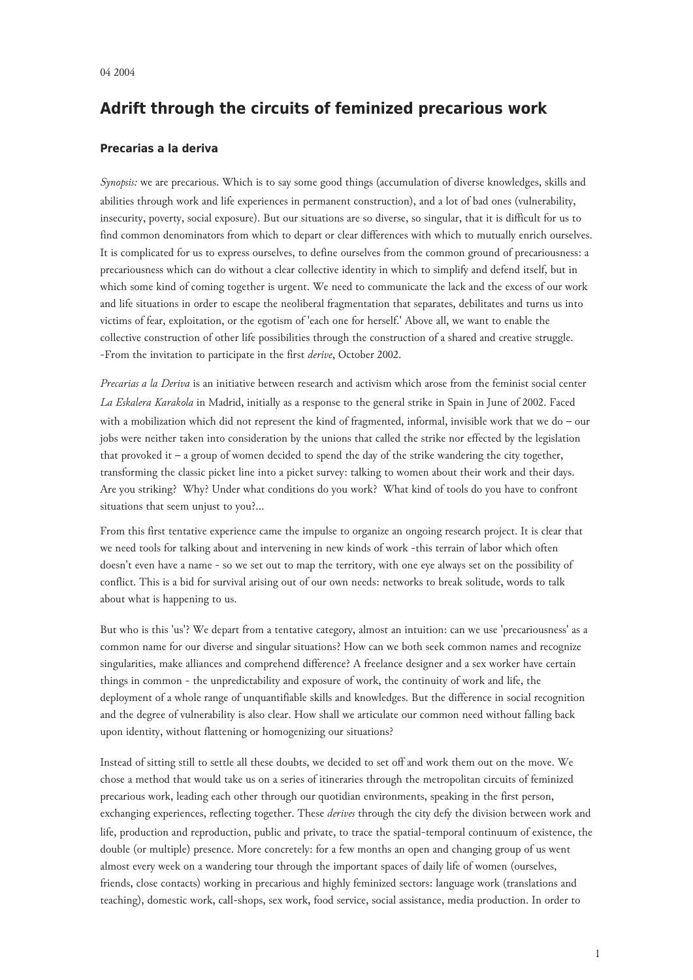## **Adrift through the circuits of feminized precarious work**

## **Precarias a la deriva**

*Synopsis:* we are precarious. Which is to say some good things (accumulation of diverse knowledges, skills and abilities through work and life experiences in permanent construction), and a lot of bad ones (vulnerability, insecurity, poverty, social exposure). But our situations are so diverse, so singular, that it is difficult for us to find common denominators from which to depart or clear differences with which to mutually enrich ourselves. It is complicated for us to express ourselves, to define ourselves from the common ground of precariousness: a precariousness which can do without a clear collective identity in which to simplify and defend itself, but in which some kind of coming together is urgent. We need to communicate the lack and the excess of our work and life situations in order to escape the neoliberal fragmentation that separates, debilitates and turns us into victims of fear, exploitation, or the egotism of 'each one for herself.' Above all, we want to enable the collective construction of other life possibilities through the construction of a shared and creative struggle. -From the invitation to participate in the first *derive*, October 2002.

*Precarias a la Deriva* is an initiative between research and activism which arose from the feminist social center *La Eskalera Karakola* in Madrid, initially as a response to the general strike in Spain in June of 2002. Faced with a mobilization which did not represent the kind of fragmented, informal, invisible work that we do – our jobs were neither taken into consideration by the unions that called the strike nor effected by the legislation that provoked it – a group of women decided to spend the day of the strike wandering the city together, transforming the classic picket line into a picket survey: talking to women about their work and their days. Are you striking? Why? Under what conditions do you work? What kind of tools do you have to confront situations that seem unjust to you?...

From this first tentative experience came the impulse to organize an ongoing research project. It is clear that we need tools for talking about and intervening in new kinds of work -this terrain of labor which often doesn't even have a name - so we set out to map the territory, with one eye always set on the possibility of conflict. This is a bid for survival arising out of our own needs: networks to break solitude, words to talk about what is happening to us.

But who is this 'us'? We depart from a tentative category, almost an intuition: can we use 'precariousness' as a common name for our diverse and singular situations? How can we both seek common names and recognize singularities, make alliances and comprehend difference? A freelance designer and a sex worker have certain things in common - the unpredictability and exposure of work, the continuity of work and life, the deployment of a whole range of unquantifiable skills and knowledges. But the difference in social recognition and the degree of vulnerability is also clear. How shall we articulate our common need without falling back upon identity, without flattening or homogenizing our situations?

Instead of sitting still to settle all these doubts, we decided to set off and work them out on the move. We chose a method that would take us on a series of itineraries through the metropolitan circuits of feminized precarious work, leading each other through our quotidian environments, speaking in the first person, exchanging experiences, reflecting together. These *derives* through the city defy the division between work and life, production and reproduction, public and private, to trace the spatial-temporal continuum of existence, the double (or multiple) presence. More concretely: for a few months an open and changing group of us went almost every week on a wandering tour through the important spaces of daily life of women (ourselves, friends, close contacts) working in precarious and highly feminized sectors: language work (translations and teaching), domestic work, call-shops, sex work, food service, social assistance, media production. In order to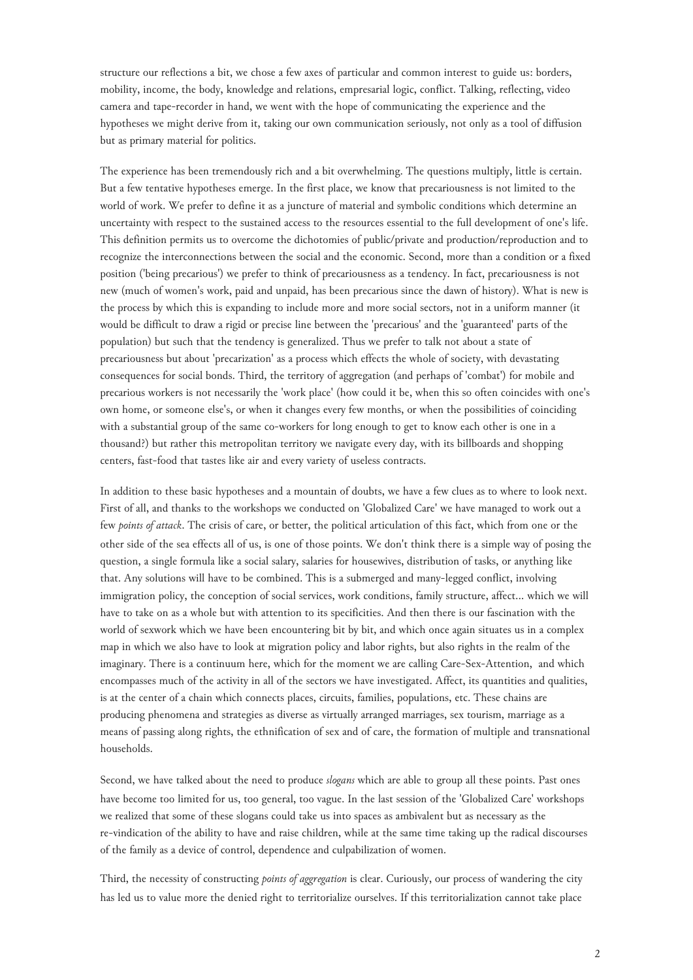structure our reflections a bit, we chose a few axes of particular and common interest to guide us: borders, mobility, income, the body, knowledge and relations, empresarial logic, conflict. Talking, reflecting, video camera and tape-recorder in hand, we went with the hope of communicating the experience and the hypotheses we might derive from it, taking our own communication seriously, not only as a tool of diffusion but as primary material for politics.

The experience has been tremendously rich and a bit overwhelming. The questions multiply, little is certain. But a few tentative hypotheses emerge. In the first place, we know that precariousness is not limited to the world of work. We prefer to define it as a juncture of material and symbolic conditions which determine an uncertainty with respect to the sustained access to the resources essential to the full development of one's life. This definition permits us to overcome the dichotomies of public/private and production/reproduction and to recognize the interconnections between the social and the economic. Second, more than a condition or a fixed position ('being precarious') we prefer to think of precariousness as a tendency. In fact, precariousness is not new (much of women's work, paid and unpaid, has been precarious since the dawn of history). What is new is the process by which this is expanding to include more and more social sectors, not in a uniform manner (it would be difficult to draw a rigid or precise line between the 'precarious' and the 'guaranteed' parts of the population) but such that the tendency is generalized. Thus we prefer to talk not about a state of precariousness but about 'precarization' as a process which effects the whole of society, with devastating consequences for social bonds. Third, the territory of aggregation (and perhaps of 'combat') for mobile and precarious workers is not necessarily the 'work place' (how could it be, when this so often coincides with one's own home, or someone else's, or when it changes every few months, or when the possibilities of coinciding with a substantial group of the same co-workers for long enough to get to know each other is one in a thousand?) but rather this metropolitan territory we navigate every day, with its billboards and shopping centers, fast-food that tastes like air and every variety of useless contracts.

In addition to these basic hypotheses and a mountain of doubts, we have a few clues as to where to look next. First of all, and thanks to the workshops we conducted on 'Globalized Care' we have managed to work out a few *points of attack*. The crisis of care, or better, the political articulation of this fact, which from one or the other side of the sea effects all of us, is one of those points. We don't think there is a simple way of posing the question, a single formula like a social salary, salaries for housewives, distribution of tasks, or anything like that. Any solutions will have to be combined. This is a submerged and many-legged conflict, involving immigration policy, the conception of social services, work conditions, family structure, affect… which we will have to take on as a whole but with attention to its specificities. And then there is our fascination with the world of sexwork which we have been encountering bit by bit, and which once again situates us in a complex map in which we also have to look at migration policy and labor rights, but also rights in the realm of the imaginary. There is a continuum here, which for the moment we are calling Care-Sex-Attention, and which encompasses much of the activity in all of the sectors we have investigated. Affect, its quantities and qualities, is at the center of a chain which connects places, circuits, families, populations, etc. These chains are producing phenomena and strategies as diverse as virtually arranged marriages, sex tourism, marriage as a means of passing along rights, the ethnification of sex and of care, the formation of multiple and transnational households.

Second, we have talked about the need to produce *slogans* which are able to group all these points. Past ones have become too limited for us, too general, too vague. In the last session of the 'Globalized Care' workshops we realized that some of these slogans could take us into spaces as ambivalent but as necessary as the re-vindication of the ability to have and raise children, while at the same time taking up the radical discourses of the family as a device of control, dependence and culpabilization of women.

Third, the necessity of constructing *points of aggregation* is clear. Curiously, our process of wandering the city has led us to value more the denied right to territorialize ourselves. If this territorialization cannot take place